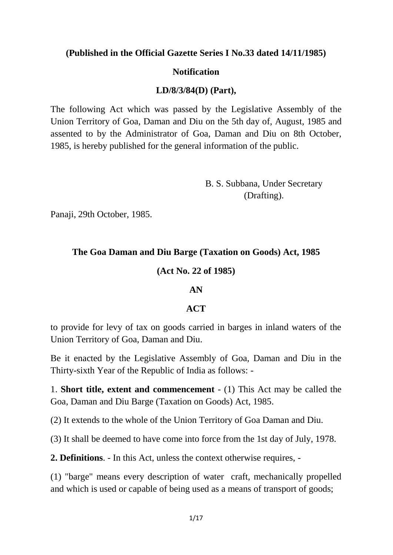**(Published in the Official Gazette Series I No.33 dated 14/11/1985)**

### **Notification**

## **LD/8/3/84(D) (Part),**

The following Act which was passed by the Legislative Assembly of the Union Territory of Goa, Daman and Diu on the 5th day of, August, 1985 and assented to by the Administrator of Goa, Daman and Diu on 8th October, 1985, is hereby published for the general information of the public.

> B. S. Subbana, Under Secretary (Drafting).

Panaji, 29th October, 1985.

## **The Goa Daman and Diu Barge (Taxation on Goods) Act, 1985**

### **(Act No. 22 of 1985)**

### **AN**

### **ACT**

to provide for levy of tax on goods carried in barges in inland waters of the Union Territory of Goa, Daman and Diu.

Be it enacted by the Legislative Assembly of Goa, Daman and Diu in the Thirty-sixth Year of the Republic of India as follows: -

1. **Short title, extent and commencement** - (1) This Act may be called the Goa, Daman and Diu Barge (Taxation on Goods) Act, 1985.

(2) It extends to the whole of the Union Territory of Goa Daman and Diu.

(3) It shall be deemed to have come into force from the 1st day of July, 1978.

**2. Definitions**. - In this Act, unless the context otherwise requires, -

(1) "barge" means every description of water craft, mechanically propelled and which is used or capable of being used as a means of transport of goods;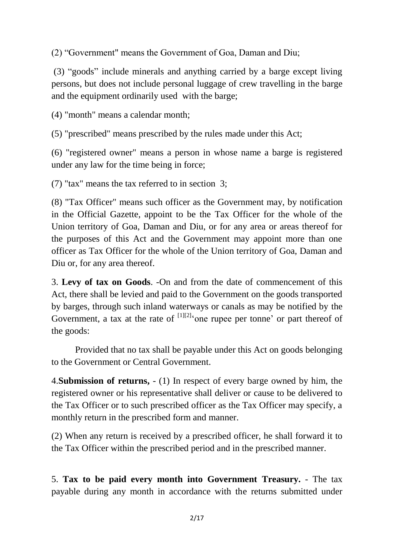(2) "Government" means the Government of Goa, Daman and Diu;

(3) "goods" include minerals and anything carried by a barge except living persons, but does not include personal luggage of crew travelling in the barge and the equipment ordinarily used with the barge;

(4) "month" means a calendar month;

(5) "prescribed" means prescribed by the rules made under this Act;

(6) "registered owner" means a person in whose name a barge is registered under any law for the time being in force;

(7) "tax" means the tax referred to in section 3;

(8) "Tax Officer" means such officer as the Government may, by notification in the Official Gazette, appoint to be the Tax Officer for the whole of the Union territory of Goa, Daman and Diu, or for any area or areas thereof for the purposes of this Act and the Government may appoint more than one officer as Tax Officer for the whole of the Union territory of Goa, Daman and Diu or, for any area thereof.

3. **Levy of tax on Goods**. -On and from the date of commencement of this Act, there shall be levied and paid to the Government on the goods transported by barges, through such inland waterways or canals as may be notified by the Government, a tax at the rate of  $[1][2]$  one rupee per tonne' or part thereof of the goods:

Provided that no tax shall be payable under this Act on goods belonging to the Government or Central Government.

4.**Submission of returns,** - (1) In respect of every barge owned by him, the registered owner or his representative shall deliver or cause to be delivered to the Tax Officer or to such prescribed officer as the Tax Officer may specify, a monthly return in the prescribed form and manner.

(2) When any return is received by a prescribed officer, he shall forward it to the Tax Officer within the prescribed period and in the prescribed manner.

5. **Tax to be paid every month into Government Treasury.** - The tax payable during any month in accordance with the returns submitted under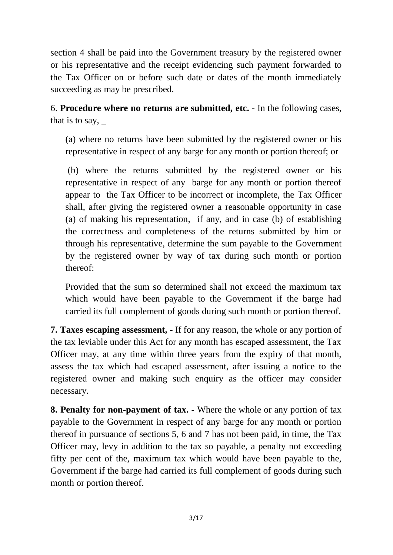section 4 shall be paid into the Government treasury by the registered owner or his representative and the receipt evidencing such payment forwarded to the Tax Officer on or before such date or dates of the month immediately succeeding as may be prescribed.

6. **Procedure where no returns are submitted, etc.** - In the following cases, that is to say,  $\overline{\phantom{a}}$ 

(a) where no returns have been submitted by the registered owner or his representative in respect of any barge for any month or portion thereof; or

(b) where the returns submitted by the registered owner or his representative in respect of any barge for any month or portion thereof appear to the Tax Officer to be incorrect or incomplete, the Tax Officer shall, after giving the registered owner a reasonable opportunity in case (a) of making his representation, if any, and in case (b) of establishing the correctness and completeness of the returns submitted by him or through his representative, determine the sum payable to the Government by the registered owner by way of tax during such month or portion thereof:

Provided that the sum so determined shall not exceed the maximum tax which would have been payable to the Government if the barge had carried its full complement of goods during such month or portion thereof.

**7. Taxes escaping assessment,** - If for any reason, the whole or any portion of the tax leviable under this Act for any month has escaped assessment, the Tax Officer may, at any time within three years from the expiry of that month, assess the tax which had escaped assessment, after issuing a notice to the registered owner and making such enquiry as the officer may consider necessary.

**8. Penalty for non-payment of tax.** - Where the whole or any portion of tax payable to the Government in respect of any barge for any month or portion thereof in pursuance of sections 5, 6 and 7 has not been paid, in time, the Tax Officer may, levy in addition to the tax so payable, a penalty not exceeding fifty per cent of the, maximum tax which would have been payable to the, Government if the barge had carried its full complement of goods during such month or portion thereof.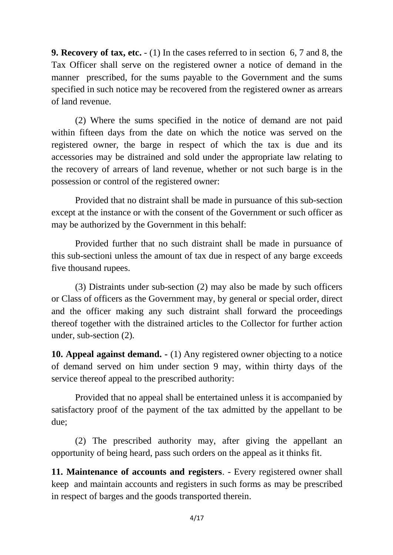**9. Recovery of tax, etc.** - (1) In the cases referred to in section 6, 7 and 8, the Tax Officer shall serve on the registered owner a notice of demand in the manner prescribed, for the sums payable to the Government and the sums specified in such notice may be recovered from the registered owner as arrears of land revenue.

(2) Where the sums specified in the notice of demand are not paid within fifteen days from the date on which the notice was served on the registered owner, the barge in respect of which the tax is due and its accessories may be distrained and sold under the appropriate law relating to the recovery of arrears of land revenue, whether or not such barge is in the possession or control of the registered owner:

Provided that no distraint shall be made in pursuance of this sub-section except at the instance or with the consent of the Government or such officer as may be authorized by the Government in this behalf:

Provided further that no such distraint shall be made in pursuance of this sub-sectioni unless the amount of tax due in respect of any barge exceeds five thousand rupees.

(3) Distraints under sub-section (2) may also be made by such officers or Class of officers as the Government may, by general or special order, direct and the officer making any such distraint shall forward the proceedings thereof together with the distrained articles to the Collector for further action under, sub-section (2).

**10. Appeal against demand. -** (1) Any registered owner objecting to a notice of demand served on him under section 9 may, within thirty days of the service thereof appeal to the prescribed authority:

Provided that no appeal shall be entertained unless it is accompanied by satisfactory proof of the payment of the tax admitted by the appellant to be due;

(2) The prescribed authority may, after giving the appellant an opportunity of being heard, pass such orders on the appeal as it thinks fit.

**11. Maintenance of accounts and registers**. - Every registered owner shall keep and maintain accounts and registers in such forms as may be prescribed in respect of barges and the goods transported therein.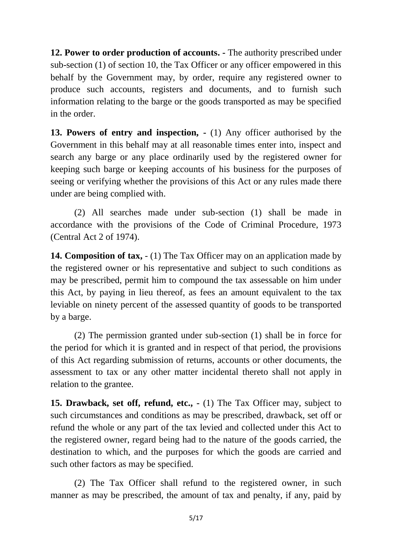**12. Power to order production of accounts. -** The authority prescribed under sub-section (1) of section 10, the Tax Officer or any officer empowered in this behalf by the Government may, by order, require any registered owner to produce such accounts, registers and documents, and to furnish such information relating to the barge or the goods transported as may be specified in the order.

**13. Powers of entry and inspection, -** (1) Any officer authorised by the Government in this behalf may at all reasonable times enter into, inspect and search any barge or any place ordinarily used by the registered owner for keeping such barge or keeping accounts of his business for the purposes of seeing or verifying whether the provisions of this Act or any rules made there under are being complied with.

(2) All searches made under sub-section (1) shall be made in accordance with the provisions of the Code of Criminal Procedure, 1973 (Central Act 2 of 1974).

**14. Composition of tax,** - (1) The Tax Officer may on an application made by the registered owner or his representative and subject to such conditions as may be prescribed, permit him to compound the tax assessable on him under this Act, by paying in lieu thereof, as fees an amount equivalent to the tax leviable on ninety percent of the assessed quantity of goods to be transported by a barge.

(2) The permission granted under sub-section (1) shall be in force for the period for which it is granted and in respect of that period, the provisions of this Act regarding submission of returns, accounts or other documents, the assessment to tax or any other matter incidental thereto shall not apply in relation to the grantee.

**15. Drawback, set off, refund, etc., -** (1) The Tax Officer may, subject to such circumstances and conditions as may be prescribed, drawback, set off or refund the whole or any part of the tax levied and collected under this Act to the registered owner, regard being had to the nature of the goods carried, the destination to which, and the purposes for which the goods are carried and such other factors as may be specified.

(2) The Tax Officer shall refund to the registered owner, in such manner as may be prescribed, the amount of tax and penalty, if any, paid by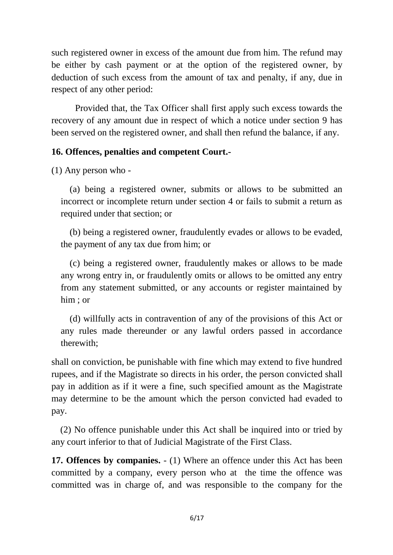such registered owner in excess of the amount due from him. The refund may be either by cash payment or at the option of the registered owner, by deduction of such excess from the amount of tax and penalty, if any, due in respect of any other period:

Provided that, the Tax Officer shall first apply such excess towards the recovery of any amount due in respect of which a notice under section 9 has been served on the registered owner, and shall then refund the balance, if any.

# **16. Offences, penalties and competent Court.-**

(1) Any person who -

(a) being a registered owner, submits or allows to be submitted an incorrect or incomplete return under section 4 or fails to submit a return as required under that section; or

(b) being a registered owner, fraudulently evades or allows to be evaded, the payment of any tax due from him; or

(c) being a registered owner, fraudulently makes or allows to be made any wrong entry in, or fraudulently omits or allows to be omitted any entry from any statement submitted, or any accounts or register maintained by him ; or

(d) willfully acts in contravention of any of the provisions of this Act or any rules made thereunder or any lawful orders passed in accordance therewith;

shall on conviction, be punishable with fine which may extend to five hundred rupees, and if the Magistrate so directs in his order, the person convicted shall pay in addition as if it were a fine, such specified amount as the Magistrate may determine to be the amount which the person convicted had evaded to pay.

(2) No offence punishable under this Act shall be inquired into or tried by any court inferior to that of Judicial Magistrate of the First Class.

**17. Offences by companies.** - (1) Where an offence under this Act has been committed by a company, every person who at the time the offence was committed was in charge of, and was responsible to the company for the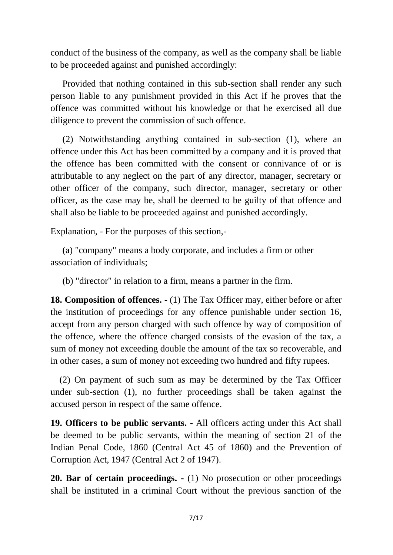conduct of the business of the company, as well as the company shall be liable to be proceeded against and punished accordingly:

Provided that nothing contained in this sub-section shall render any such person liable to any punishment provided in this Act if he proves that the offence was committed without his knowledge or that he exercised all due diligence to prevent the commission of such offence.

(2) Notwithstanding anything contained in sub-section (1), where an offence under this Act has been committed by a company and it is proved that the offence has been committed with the consent or connivance of or is attributable to any neglect on the part of any director, manager, secretary or other officer of the company, such director, manager, secretary or other officer, as the case may be, shall be deemed to be guilty of that offence and shall also be liable to be proceeded against and punished accordingly.

Explanation, - For the purposes of this section,-

(a) "company" means a body corporate, and includes a firm or other association of individuals;

(b) "director" in relation to a firm, means a partner in the firm.

**18. Composition of offences. -** (1) The Tax Officer may, either before or after the institution of proceedings for any offence punishable under section 16, accept from any person charged with such offence by way of composition of the offence, where the offence charged consists of the evasion of the tax, a sum of money not exceeding double the amount of the tax so recoverable, and in other cases, a sum of money not exceeding two hundred and fifty rupees.

(2) On payment of such sum as may be determined by the Tax Officer under sub-section (1), no further proceedings shall be taken against the accused person in respect of the same offence.

**19. Officers to be public servants. -** All officers acting under this Act shall be deemed to be public servants, within the meaning of section 21 of the Indian Penal Code, 1860 (Central Act 45 of 1860) and the Prevention of Corruption Act, 1947 (Central Act 2 of 1947).

**20. Bar of certain proceedings. -** (1) No prosecution or other proceedings shall be instituted in a criminal Court without the previous sanction of the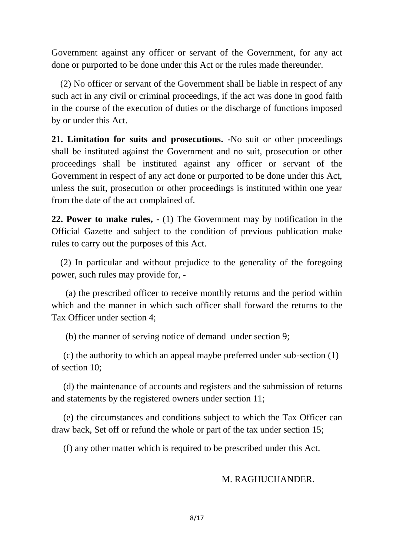Government against any officer or servant of the Government, for any act done or purported to be done under this Act or the rules made thereunder.

(2) No officer or servant of the Government shall be liable in respect of any such act in any civil or criminal proceedings, if the act was done in good faith in the course of the execution of duties or the discharge of functions imposed by or under this Act.

**21. Limitation for suits and prosecutions. -**No suit or other proceedings shall be instituted against the Government and no suit, prosecution or other proceedings shall be instituted against any officer or servant of the Government in respect of any act done or purported to be done under this Act, unless the suit, prosecution or other proceedings is instituted within one year from the date of the act complained of.

**22. Power to make rules, -** (1) The Government may by notification in the Official Gazette and subject to the condition of previous publication make rules to carry out the purposes of this Act.

(2) In particular and without prejudice to the generality of the foregoing power, such rules may provide for, -

(a) the prescribed officer to receive monthly returns and the period within which and the manner in which such officer shall forward the returns to the Tax Officer under section 4;

(b) the manner of serving notice of demand under section 9;

(c) the authority to which an appeal maybe preferred under sub-section (1) of section 10;

(d) the maintenance of accounts and registers and the submission of returns and statements by the registered owners under section 11;

(e) the circumstances and conditions subject to which the Tax Officer can draw back, Set off or refund the whole or part of the tax under section 15;

(f) any other matter which is required to be prescribed under this Act.

# M. RAGHUCHANDER.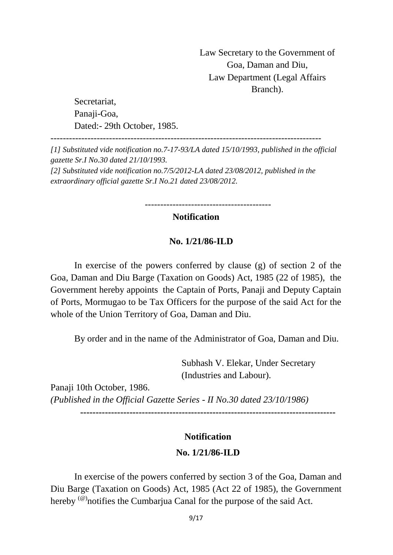Law Secretary to the Government of Goa, Daman and Diu, Law Department (Legal Affairs Branch).

Secretariat, Panaji-Goa. Dated:- 29th October, 1985.

----------------------------------------------------------------------------------------

*[1] Substituted vide notification no.7-17-93/LA dated 15/10/1993, published in the official gazette Sr.I No.30 dated 21/10/1993. [2] Substituted vide notification no.7/5/2012-LA dated 23/08/2012, published in the extraordinary official gazette Sr.I No.21 dated 23/08/2012.*

-----------------------------------------

# **Notification**

#### **No. 1/21/86-ILD**

In exercise of the powers conferred by clause (g) of section 2 of the Goa, Daman and Diu Barge (Taxation on Goods) Act, 1985 (22 of 1985), the Government hereby appoints the Captain of Ports, Panaji and Deputy Captain of Ports, Mormugao to be Tax Officers for the purpose of the said Act for the whole of the Union Territory of Goa, Daman and Diu.

By order and in the name of the Administrator of Goa, Daman and Diu.

Subhash V. Elekar, Under Secretary (Industries and Labour).

Panaji 10th October, 1986. *(Published in the Official Gazette Series - II No.30 dated 23/10/1986)*

**-----------------------------------------------------------------------------------**

#### **Notification**

#### **No. 1/21/86-ILD**

In exercise of the powers conferred by section 3 of the Goa, Daman and Diu Barge (Taxation on Goods) Act, 1985 (Act 22 of 1985), the Government hereby  $^{(@)}$ notifies the Cumbarjua Canal for the purpose of the said Act.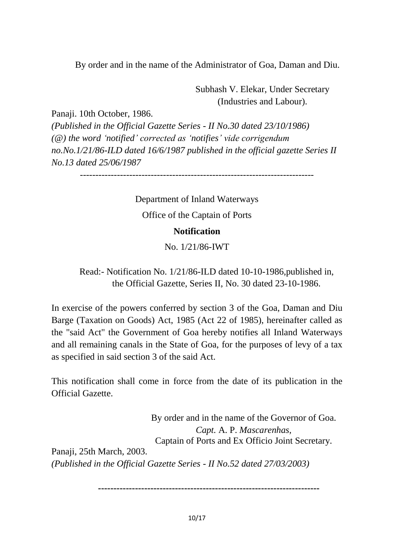By order and in the name of the Administrator of Goa, Daman and Diu.

Subhash V. Elekar, Under Secretary (Industries and Labour).

Panaji. 10th October, 1986. *(Published in the Official Gazette Series - II No.30 dated 23/10/1986) (@) the word 'notified' corrected as 'notifies' vide corrigendum no.No.1/21/86-ILD dated 16/6/1987 published in the official gazette Series II No.13 dated 25/06/1987*

----------------------------------------------------------------------------

Department of Inland Waterways Office of the Captain of Ports **Notification**

No. 1/21/86-IWT

Read:- Notification No. 1/21/86-ILD dated 10-10-1986,published in, the Official Gazette, Series II, No. 30 dated 23-10-1986.

In exercise of the powers conferred by section 3 of the Goa, Daman and Diu Barge (Taxation on Goods) Act, 1985 (Act 22 of 1985), hereinafter called as the "said Act" the Government of Goa hereby notifies all Inland Waterways and all remaining canals in the State of Goa, for the purposes of levy of a tax as specified in said section 3 of the said Act.

This notification shall come in force from the date of its publication in the Official Gazette.

By order and in the name of the Governor of Goa. *Capt.* A. P. *Mascarenhas,* Captain of Ports and Ex Officio Joint Secretary. Panaji, 25th March, 2003. *(Published in the Official Gazette Series - II No.52 dated 27/03/2003)*

**------------------------------------------------------------------------**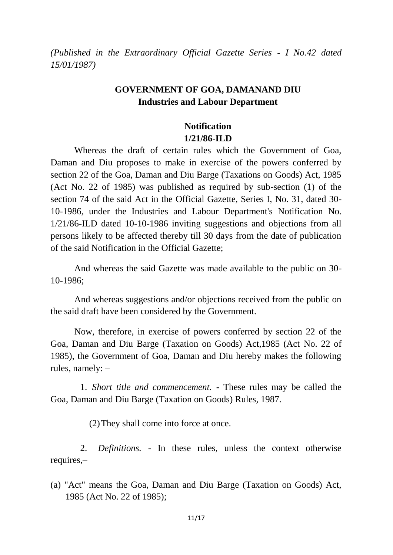*(Published in the Extraordinary Official Gazette Series - I No.42 dated 15/01/1987)*

# **GOVERNMENT OF GOA, DAMANAND DIU Industries and Labour Department**

# **Notification 1/21/86-ILD**

Whereas the draft of certain rules which the Government of Goa, Daman and Diu proposes to make in exercise of the powers conferred by section 22 of the Goa, Daman and Diu Barge (Taxations on Goods) Act, 1985 (Act No. 22 of 1985) was published as required by sub-section (1) of the section 74 of the said Act in the Official Gazette, Series I, No. 31, dated 30- 10-1986, under the Industries and Labour Department's Notification No. 1/21/86-ILD dated 10-10-1986 inviting suggestions and objections from all persons likely to be affected thereby till 30 days from the date of publication of the said Notification in the Official Gazette;

And whereas the said Gazette was made available to the public on 30- 10-1986;

And whereas suggestions and/or objections received from the public on the said draft have been considered by the Government.

Now, therefore, in exercise of powers conferred by section 22 of the Goa, Daman and Diu Barge (Taxation on Goods) Act,1985 (Act No. 22 of 1985), the Government of Goa, Daman and Diu hereby makes the following rules, namely: –

1. *Short title and commencement.* **-** These rules may be called the Goa, Daman and Diu Barge (Taxation on Goods) Rules, 1987.

(2)They shall come into force at once.

2. *Definitions.* - In these rules, unless the context otherwise requires,–

(a) "Act" means the Goa, Daman and Diu Barge (Taxation on Goods) Act, 1985 (Act No. 22 of 1985);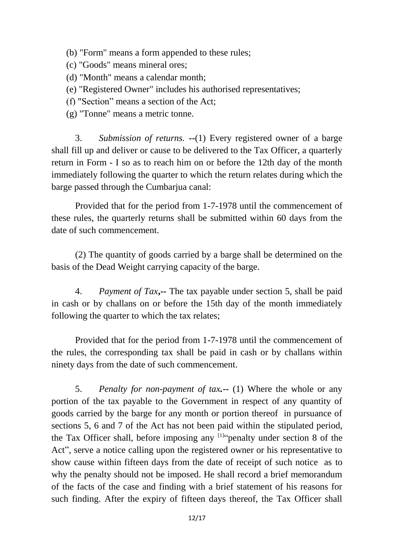- (b) "Form" means a form appended to these rules;
- (c) "Goods" means mineral ores;
- (d) "Month" means a calendar month;
- (e) "Registered Owner" includes his authorised representatives;
- (f) "Section" means a section of the Act;
- (g) "Tonne" means a metric tonne.

3. *Submission of returns.* **--**(1) Every registered owner of a barge shall fill up and deliver or cause to be delivered to the Tax Officer, a quarterly return in Form - I so as to reach him on or before the 12th day of the month immediately following the quarter to which the return relates during which the barge passed through the Cumbarjua canal:

Provided that for the period from 1-7-1978 until the commencement of these rules, the quarterly returns shall be submitted within 60 days from the date of such commencement.

(2) The quantity of goods carried by a barge shall be determined on the basis of the Dead Weight carrying capacity of the barge.

4. *Payment of Tax***,--** The tax payable under section 5, shall be paid in cash or by challans on or before the 15th day of the month immediately following the quarter to which the tax relates;

Provided that for the period from 1-7-1978 until the commencement of the rules, the corresponding tax shall be paid in cash or by challans within ninety days from the date of such commencement.

5. *Penalty for non-payment of tax.***--** (1) Where the whole or any portion of the tax payable to the Government in respect of any quantity of goods carried by the barge for any month or portion thereof in pursuance of sections 5, 6 and 7 of the Act has not been paid within the stipulated period, the Tax Officer shall, before imposing any  $[1]$ <sup>c</sup> penalty under section 8 of the Act", serve a notice calling upon the registered owner or his representative to show cause within fifteen days from the date of receipt of such notice as to why the penalty should not be imposed. He shall record a brief memorandum of the facts of the case and finding with a brief statement of his reasons for such finding. After the expiry of fifteen days thereof, the Tax Officer shall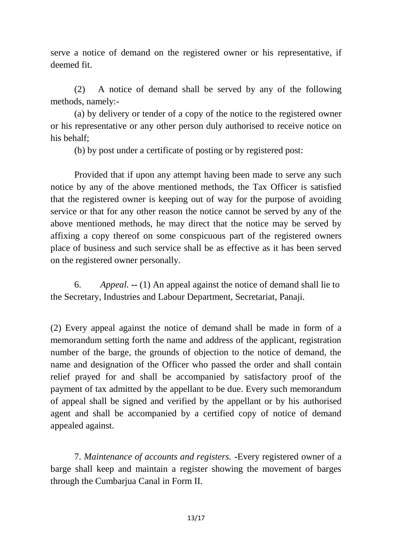serve a notice of demand on the registered owner or his representative, if deemed fit.

(2) A notice of demand shall be served by any of the following methods, namely:-

(a) by delivery or tender of a copy of the notice to the registered owner or his representative or any other person duly authorised to receive notice on his behalf;

(b) by post under a certificate of posting or by registered post:

Provided that if upon any attempt having been made to serve any such notice by any of the above mentioned methods, the Tax Officer is satisfied that the registered owner is keeping out of way for the purpose of avoiding service or that for any other reason the notice cannot be served by any of the above mentioned methods, he may direct that the notice may be served by affixing a copy thereof on some conspicuous part of the registered owners place of business and such service shall be as effective as it has been served on the registered owner personally.

6. *Appeal.* **--** (1) An appeal against the notice of demand shall lie to the Secretary, Industries and Labour Department, Secretariat, Panaji.

(2) Every appeal against the notice of demand shall be made in form of a memorandum setting forth the name and address of the applicant, registration number of the barge, the grounds of objection to the notice of demand, the name and designation of the Officer who passed the order and shall contain relief prayed for and shall be accompanied by satisfactory proof of the payment of tax admitted by the appellant to be due. Every such memorandum of appeal shall be signed and verified by the appellant or by his authorised agent and shall be accompanied by a certified copy of notice of demand appealed against.

7. *Maintenance of accounts and registers.* **-**Every registered owner of a barge shall keep and maintain a register showing the movement of barges through the Cumbarjua Canal in Form II.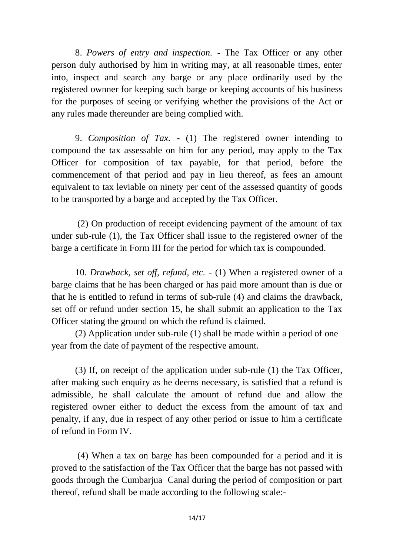8. *Powers of entry and inspection.* **-** The Tax Officer or any other person duly authorised by him in writing may, at all reasonable times, enter into, inspect and search any barge or any place ordinarily used by the registered ownner for keeping such barge or keeping accounts of his business for the purposes of seeing or verifying whether the provisions of the Act or any rules made thereunder are being complied with.

9. *Composition of Tax.* **-** (1) The registered owner intending to compound the tax assessable on him for any period, may apply to the Tax Officer for composition of tax payable, for that period, before the commencement of that period and pay in lieu thereof, as fees an amount equivalent to tax leviable on ninety per cent of the assessed quantity of goods to be transported by a barge and accepted by the Tax Officer.

(2) On production of receipt evidencing payment of the amount of tax under sub-rule (1), the Tax Officer shall issue to the registered owner of the barge a certificate in Form III for the period for which tax is compounded.

10. *Drawback, set off, refund, etc.* **-** (1) When a registered owner of a barge claims that he has been charged or has paid more amount than is due or that he is entitled to refund in terms of sub-rule (4) and claims the drawback, set off or refund under section 15, he shall submit an application to the Tax Officer stating the ground on which the refund is claimed.

(2) Application under sub-rule (1) shall be made within a period of one year from the date of payment of the respective amount.

(3) If, on receipt of the application under sub-rule (1) the Tax Officer, after making such enquiry as he deems necessary, is satisfied that a refund is admissible, he shall calculate the amount of refund due and allow the registered owner either to deduct the excess from the amount of tax and penalty, if any, due in respect of any other period or issue to him a certificate of refund in Form IV.

(4) When a tax on barge has been compounded for a period and it is proved to the satisfaction of the Tax Officer that the barge has not passed with goods through the Cumbarjua Canal during the period of composition or part thereof, refund shall be made according to the following scale:-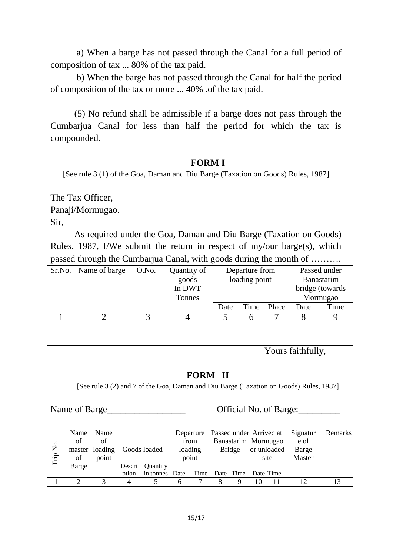a) When a barge has not passed through the Canal for a full period of composition of tax ... 80% of the tax paid.

b) When the barge has not passed through the Canal for half the period of composition of the tax or more ... 40% .of the tax paid.

(5) No refund shall be admissible if a barge does not pass through the Cumbarjua Canal for less than half the period for which the tax is compounded.

#### **FORM I**

[See rule 3 (1) of the Goa, Daman and Diu Barge (Taxation on Goods) Rules, 1987]

The Tax Officer, Panaji/Mormugao. Sir,

As required under the Goa, Daman and Diu Barge (Taxation on Goods) Rules, 1987, I/We submit the return in respect of my/our barge(s), which passed through the Cumbarjua Canal, with goods during the month of ……….

| Sr.No. Name of barge | O.No. | Quantity of | Departure from |  |            | Passed under     |      |  |
|----------------------|-------|-------------|----------------|--|------------|------------------|------|--|
|                      |       | goods       | loading point  |  | Banastarim |                  |      |  |
|                      |       | In DWT      |                |  |            | bridge (towards) |      |  |
|                      |       | Tonnes      |                |  |            | Mormugao         |      |  |
|                      |       |             | Date           |  | Time Place | Date             | Time |  |
|                      |       |             |                |  |            |                  |      |  |
|                      |       |             |                |  |            |                  |      |  |

Yours faithfully,

### **FORM II**

[See rule 3 (2) and 7 of the Goa, Daman and Diu Barge (Taxation on Goods) Rules, 1987]

Name of Barge Contract Contract Contract Contract Official No. of Barge:

| $\sum_{i=1}^{n}$<br>Trip | Name<br>of<br>of | Name<br>of<br>master loading<br>point |        | Goods loaded                            |  | from<br>loading<br>point |   | Departure Passed under Arrived at Signatur<br>Banastarim Mormugao<br>Bridge |    | or unloaded<br>site | e of<br>Barge<br>Master | Remarks |
|--------------------------|------------------|---------------------------------------|--------|-----------------------------------------|--|--------------------------|---|-----------------------------------------------------------------------------|----|---------------------|-------------------------|---------|
|                          | Barge            |                                       | Descri | <b>Ouantity</b>                         |  |                          |   |                                                                             |    |                     |                         |         |
|                          |                  |                                       | ption  | in tonnes Date Time Date Time Date Time |  |                          |   |                                                                             |    |                     |                         |         |
|                          |                  |                                       | 4      |                                         |  |                          | 8 | Q                                                                           | 10 |                     |                         |         |
|                          |                  |                                       |        |                                         |  |                          |   |                                                                             |    |                     |                         |         |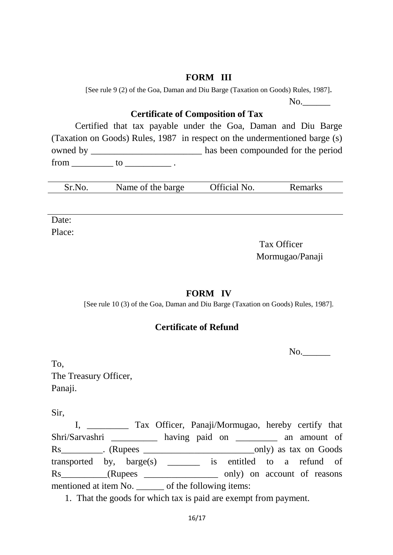## **FORM III**

[See rule 9 (2) of the Goa, Daman and Diu Barge (Taxation on Goods) Rules, 1987].

 $No.$ 

# **Certificate of Composition of Tax**

Certified that tax payable under the Goa, Daman and Diu Barge (Taxation on Goods) Rules, 1987 in respect on the undermentioned barge (s) owned by \_\_\_\_\_\_\_\_\_\_\_\_\_\_\_\_\_\_\_\_\_\_\_\_\_\_\_\_ has been compounded for the period  $from \_\_\_to \_\_\_to$ .

|  | Official No.<br>Sr.No<br>Name of the barge | Remarks |
|--|--------------------------------------------|---------|
|--|--------------------------------------------|---------|

Date:

Place:

Tax Officer Mormugao/Panaji

## **FORM IV**

[See rule 10 (3) of the Goa, Daman and Diu Barge (Taxation on Goods) Rules, 1987].

## **Certificate of Refund**

No.

To, The Treasury Officer, Panaji.

Sir,

I, \_\_\_\_\_\_\_\_\_ Tax Officer, Panaji/Mormugao, hereby certify that Shri/Sarvashri \_\_\_\_\_\_\_\_\_\_ having paid on \_\_\_\_\_\_\_\_\_ an amount of Rs\_\_\_\_\_\_\_\_\_. (Rupees \_\_\_\_\_\_\_\_\_\_\_\_\_\_\_\_\_\_\_\_\_\_\_\_only) as tax on Goods transported by, barge(s) \_\_\_\_\_\_\_ is entitled to a refund of Rs\_\_\_\_\_\_\_\_(Rupees \_\_\_\_\_\_\_\_\_\_\_\_\_\_\_\_\_ only) on account of reasons mentioned at item No. \_\_\_\_\_\_ of the following items:

1. That the goods for which tax is paid are exempt from payment.